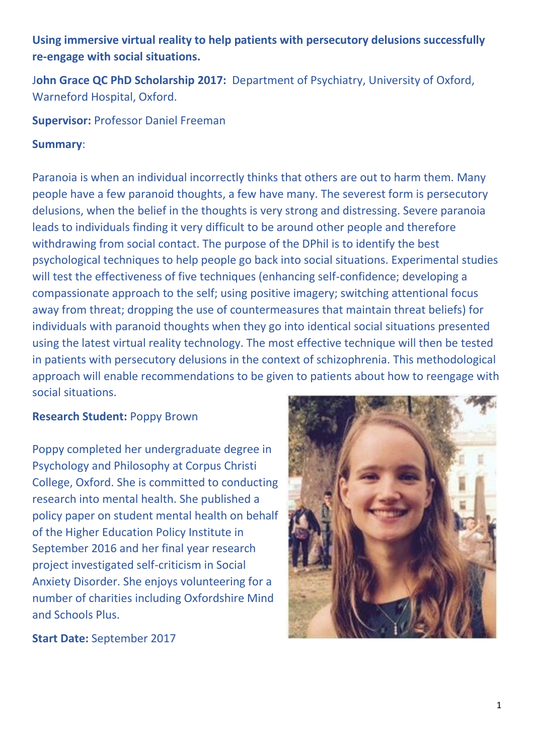# **Using immersive virtual reality to help patients with persecutory delusions successfully re-engage with social situations.**

J**ohn Grace QC PhD Scholarship 2017:** Department of Psychiatry, University of Oxford, Warneford Hospital, Oxford.

### **Supervisor:** Professor Daniel Freeman

#### **Summary**:

Paranoia is when an individual incorrectly thinks that others are out to harm them. Many people have a few paranoid thoughts, a few have many. The severest form is persecutory delusions, when the belief in the thoughts is very strong and distressing. Severe paranoia leads to individuals finding it very difficult to be around other people and therefore withdrawing from social contact. The purpose of the DPhil is to identify the best psychological techniques to help people go back into social situations. Experimental studies will test the effectiveness of five techniques (enhancing self-confidence; developing a compassionate approach to the self; using positive imagery; switching attentional focus away from threat; dropping the use of countermeasures that maintain threat beliefs) for individuals with paranoid thoughts when they go into identical social situations presented using the latest virtual reality technology. The most effective technique will then be tested in patients with persecutory delusions in the context of schizophrenia. This methodological approach will enable recommendations to be given to patients about how to reengage with social situations.

### **Research Student:** Poppy Brown

Poppy completed her undergraduate degree in Psychology and Philosophy at Corpus Christi College, Oxford. She is committed to conducting research into mental health. She published a policy paper on student mental health on behalf of the Higher Education Policy Institute in September 2016 and her final year research project investigated self-criticism in Social Anxiety Disorder. She enjoys volunteering for a number of charities including Oxfordshire Mind and Schools Plus.



**Start Date:** September 2017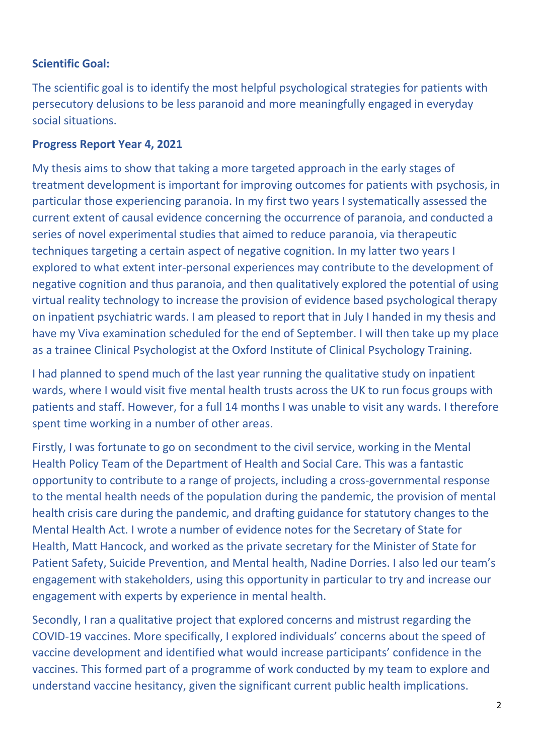## **Scientific Goal:**

The scientific goal is to identify the most helpful psychological strategies for patients with persecutory delusions to be less paranoid and more meaningfully engaged in everyday social situations.

### **Progress Report Year 4, 2021**

My thesis aims to show that taking a more targeted approach in the early stages of treatment development is important for improving outcomes for patients with psychosis, in particular those experiencing paranoia. In my first two years I systematically assessed the current extent of causal evidence concerning the occurrence of paranoia, and conducted a series of novel experimental studies that aimed to reduce paranoia, via therapeutic techniques targeting a certain aspect of negative cognition. In my latter two years I explored to what extent inter-personal experiences may contribute to the development of negative cognition and thus paranoia, and then qualitatively explored the potential of using virtual reality technology to increase the provision of evidence based psychological therapy on inpatient psychiatric wards. I am pleased to report that in July I handed in my thesis and have my Viva examination scheduled for the end of September. I will then take up my place as a trainee Clinical Psychologist at the Oxford Institute of Clinical Psychology Training.

I had planned to spend much of the last year running the qualitative study on inpatient wards, where I would visit five mental health trusts across the UK to run focus groups with patients and staff. However, for a full 14 months I was unable to visit any wards. I therefore spent time working in a number of other areas.

Firstly, I was fortunate to go on secondment to the civil service, working in the Mental Health Policy Team of the Department of Health and Social Care. This was a fantastic opportunity to contribute to a range of projects, including a cross-governmental response to the mental health needs of the population during the pandemic, the provision of mental health crisis care during the pandemic, and drafting guidance for statutory changes to the Mental Health Act. I wrote a number of evidence notes for the Secretary of State for Health, Matt Hancock, and worked as the private secretary for the Minister of State for Patient Safety, Suicide Prevention, and Mental health, Nadine Dorries. I also led our team's engagement with stakeholders, using this opportunity in particular to try and increase our engagement with experts by experience in mental health.

Secondly, I ran a qualitative project that explored concerns and mistrust regarding the COVID-19 vaccines. More specifically, I explored individuals' concerns about the speed of vaccine development and identified what would increase participants' confidence in the vaccines. This formed part of a programme of work conducted by my team to explore and understand vaccine hesitancy, given the significant current public health implications.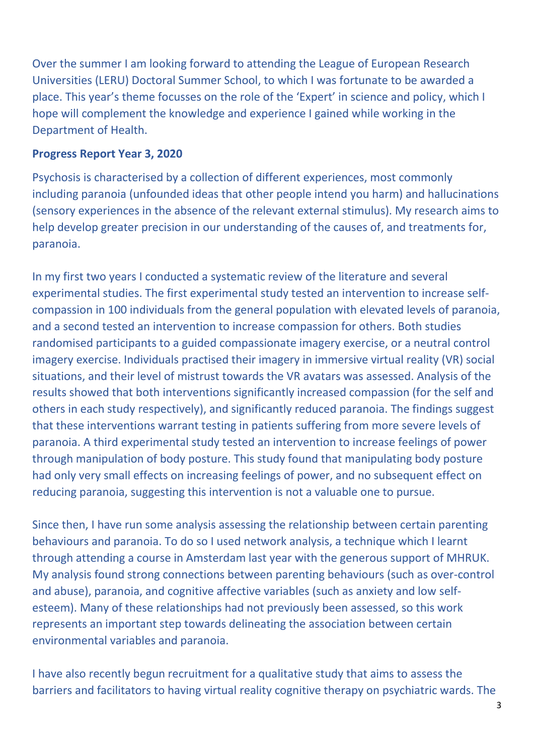Over the summer I am looking forward to attending the League of European Research Universities (LERU) Doctoral Summer School, to which I was fortunate to be awarded a place. This year's theme focusses on the role of the 'Expert' in science and policy, which I hope will complement the knowledge and experience I gained while working in the Department of Health.

### **Progress Report Year 3, 2020**

Psychosis is characterised by a collection of different experiences, most commonly including paranoia (unfounded ideas that other people intend you harm) and hallucinations (sensory experiences in the absence of the relevant external stimulus). My research aims to help develop greater precision in our understanding of the causes of, and treatments for, paranoia.

In my first two years I conducted a systematic review of the literature and several experimental studies. The first experimental study tested an intervention to increase selfcompassion in 100 individuals from the general population with elevated levels of paranoia, and a second tested an intervention to increase compassion for others. Both studies randomised participants to a guided compassionate imagery exercise, or a neutral control imagery exercise. Individuals practised their imagery in immersive virtual reality (VR) social situations, and their level of mistrust towards the VR avatars was assessed. Analysis of the results showed that both interventions significantly increased compassion (for the self and others in each study respectively), and significantly reduced paranoia. The findings suggest that these interventions warrant testing in patients suffering from more severe levels of paranoia. A third experimental study tested an intervention to increase feelings of power through manipulation of body posture. This study found that manipulating body posture had only very small effects on increasing feelings of power, and no subsequent effect on reducing paranoia, suggesting this intervention is not a valuable one to pursue.

Since then, I have run some analysis assessing the relationship between certain parenting behaviours and paranoia. To do so I used network analysis, a technique which I learnt through attending a course in Amsterdam last year with the generous support of MHRUK. My analysis found strong connections between parenting behaviours (such as over-control and abuse), paranoia, and cognitive affective variables (such as anxiety and low selfesteem). Many of these relationships had not previously been assessed, so this work represents an important step towards delineating the association between certain environmental variables and paranoia.

I have also recently begun recruitment for a qualitative study that aims to assess the barriers and facilitators to having virtual reality cognitive therapy on psychiatric wards. The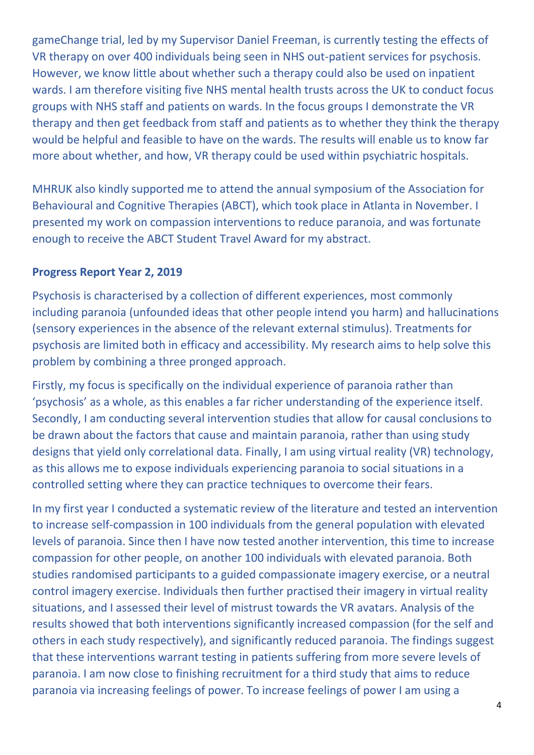gameChange trial, led by my Supervisor Daniel Freeman, is currently testing the effects of VR therapy on over 400 individuals being seen in NHS out-patient services for psychosis. However, we know little about whether such a therapy could also be used on inpatient wards. I am therefore visiting five NHS mental health trusts across the UK to conduct focus groups with NHS staff and patients on wards. In the focus groups I demonstrate the VR therapy and then get feedback from staff and patients as to whether they think the therapy would be helpful and feasible to have on the wards. The results will enable us to know far more about whether, and how, VR therapy could be used within psychiatric hospitals.

MHRUK also kindly supported me to attend the annual symposium of the Association for Behavioural and Cognitive Therapies (ABCT), which took place in Atlanta in November. I presented my work on compassion interventions to reduce paranoia, and was fortunate enough to receive the ABCT Student Travel Award for my abstract.

### **Progress Report Year 2, 2019**

Psychosis is characterised by a collection of different experiences, most commonly including paranoia (unfounded ideas that other people intend you harm) and hallucinations (sensory experiences in the absence of the relevant external stimulus). Treatments for psychosis are limited both in efficacy and accessibility. My research aims to help solve this problem by combining a three pronged approach.

Firstly, my focus is specifically on the individual experience of paranoia rather than 'psychosis' as a whole, as this enables a far richer understanding of the experience itself. Secondly, I am conducting several intervention studies that allow for causal conclusions to be drawn about the factors that cause and maintain paranoia, rather than using study designs that yield only correlational data. Finally, I am using virtual reality (VR) technology, as this allows me to expose individuals experiencing paranoia to social situations in a controlled setting where they can practice techniques to overcome their fears.

In my first year I conducted a systematic review of the literature and tested an intervention to increase self-compassion in 100 individuals from the general population with elevated levels of paranoia. Since then I have now tested another intervention, this time to increase compassion for other people, on another 100 individuals with elevated paranoia. Both studies randomised participants to a guided compassionate imagery exercise, or a neutral control imagery exercise. Individuals then further practised their imagery in virtual reality situations, and I assessed their level of mistrust towards the VR avatars. Analysis of the results showed that both interventions significantly increased compassion (for the self and others in each study respectively), and significantly reduced paranoia. The findings suggest that these interventions warrant testing in patients suffering from more severe levels of paranoia. I am now close to finishing recruitment for a third study that aims to reduce paranoia via increasing feelings of power. To increase feelings of power I am using a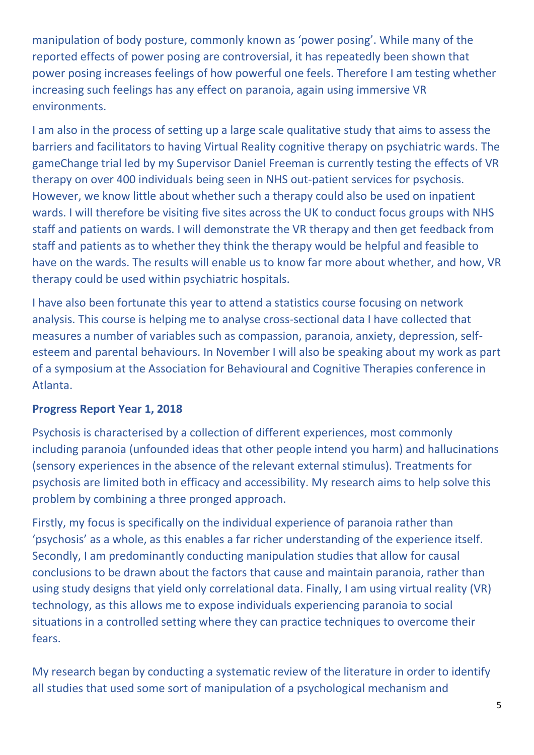manipulation of body posture, commonly known as 'power posing'. While many of the reported effects of power posing are controversial, it has repeatedly been shown that power posing increases feelings of how powerful one feels. Therefore I am testing whether increasing such feelings has any effect on paranoia, again using immersive VR environments.

I am also in the process of setting up a large scale qualitative study that aims to assess the barriers and facilitators to having Virtual Reality cognitive therapy on psychiatric wards. The gameChange trial led by my Supervisor Daniel Freeman is currently testing the effects of VR therapy on over 400 individuals being seen in NHS out-patient services for psychosis. However, we know little about whether such a therapy could also be used on inpatient wards. I will therefore be visiting five sites across the UK to conduct focus groups with NHS staff and patients on wards. I will demonstrate the VR therapy and then get feedback from staff and patients as to whether they think the therapy would be helpful and feasible to have on the wards. The results will enable us to know far more about whether, and how, VR therapy could be used within psychiatric hospitals.

I have also been fortunate this year to attend a statistics course focusing on network analysis. This course is helping me to analyse cross-sectional data I have collected that measures a number of variables such as compassion, paranoia, anxiety, depression, selfesteem and parental behaviours. In November I will also be speaking about my work as part of a symposium at the Association for Behavioural and Cognitive Therapies conference in Atlanta.

## **Progress Report Year 1, 2018**

Psychosis is characterised by a collection of different experiences, most commonly including paranoia (unfounded ideas that other people intend you harm) and hallucinations (sensory experiences in the absence of the relevant external stimulus). Treatments for psychosis are limited both in efficacy and accessibility. My research aims to help solve this problem by combining a three pronged approach.

Firstly, my focus is specifically on the individual experience of paranoia rather than 'psychosis' as a whole, as this enables a far richer understanding of the experience itself. Secondly, I am predominantly conducting manipulation studies that allow for causal conclusions to be drawn about the factors that cause and maintain paranoia, rather than using study designs that yield only correlational data. Finally, I am using virtual reality (VR) technology, as this allows me to expose individuals experiencing paranoia to social situations in a controlled setting where they can practice techniques to overcome their fears.

My research began by conducting a systematic review of the literature in order to identify all studies that used some sort of manipulation of a psychological mechanism and